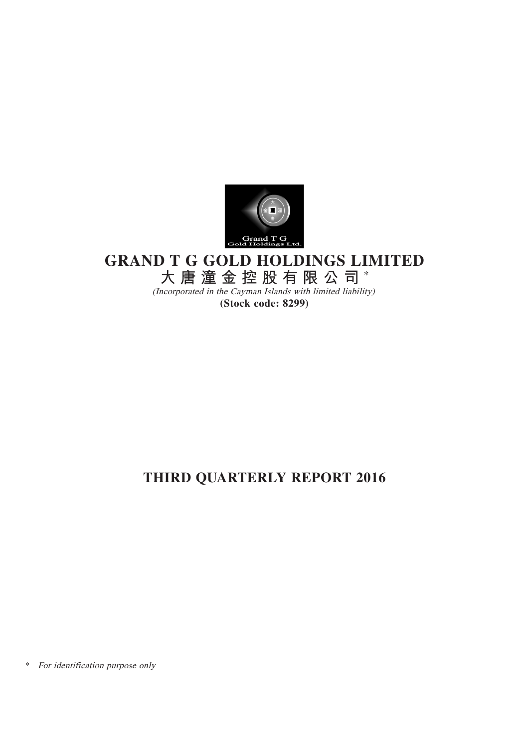

# **GRAND T G GOLD HOLDINGS LIMITED**

**大唐潼金控股有限公司** \*

(Incorporated in the Cayman Islands with limited liability) **(Stock code: 8299)**

# **THIRD QUARTERLY REPORT 2016**

\* For identification purpose only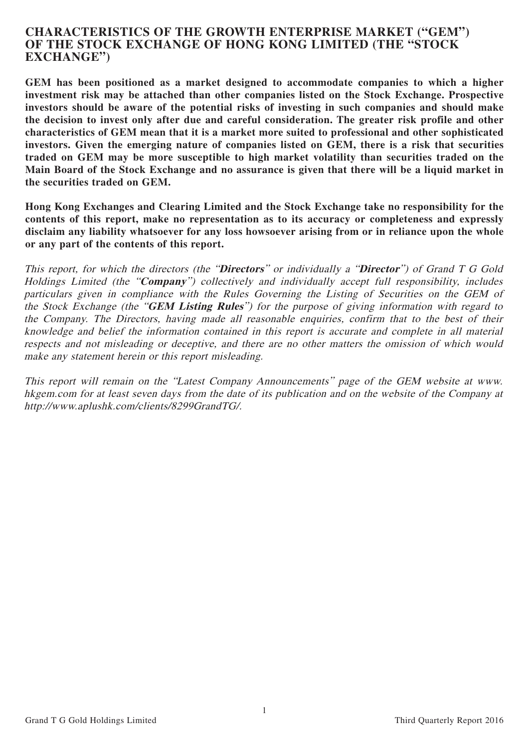# **CHARACTERISTICS OF THE GROWTH ENTERPRISE MARKET ("GEM") OF THE STOCK EXCHANGE OF HONG KONG LIMITED (THE "STOCK EXCHANGE")**

**GEM has been positioned as a market designed to accommodate companies to which a higher investment risk may be attached than other companies listed on the Stock Exchange. Prospective investors should be aware of the potential risks of investing in such companies and should make the decision to invest only after due and careful consideration. The greater risk profile and other characteristics of GEM mean that it is a market more suited to professional and other sophisticated investors. Given the emerging nature of companies listed on GEM, there is a risk that securities traded on GEM may be more susceptible to high market volatility than securities traded on the Main Board of the Stock Exchange and no assurance is given that there will be a liquid market in the securities traded on GEM.**

**Hong Kong Exchanges and Clearing Limited and the Stock Exchange take no responsibility for the contents of this report, make no representation as to its accuracy or completeness and expressly disclaim any liability whatsoever for any loss howsoever arising from or in reliance upon the whole or any part of the contents of this report.**

This report, for which the directors (the "**Directors**" or individually a "**Director**") of Grand T G Gold Holdings Limited (the "**Company**") collectively and individually accept full responsibility, includes particulars given in compliance with the Rules Governing the Listing of Securities on the GEM of the Stock Exchange (the "**GEM Listing Rules**") for the purpose of giving information with regard to the Company. The Directors, having made all reasonable enquiries, confirm that to the best of their knowledge and belief the information contained in this report is accurate and complete in all material respects and not misleading or deceptive, and there are no other matters the omission of which would make any statement herein or this report misleading.

This report will remain on the "Latest Company Announcements" page of the GEM website at www. hkgem.com for at least seven days from the date of its publication and on the website of the Company at http://www.aplushk.com/clients/8299GrandTG/.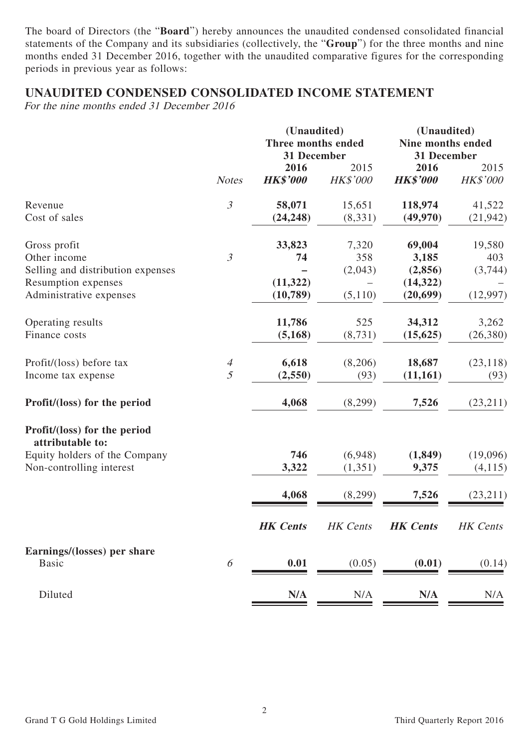The board of Directors (the "**Board**") hereby announces the unaudited condensed consolidated financial statements of the Company and its subsidiaries (collectively, the "**Group**") for the three months and nine months ended 31 December 2016, together with the unaudited comparative figures for the corresponding periods in previous year as follows:

# **UNAUDITED CONDENSED CONSOLIDATED INCOME STATEMENT**

For the nine months ended 31 December 2016

|                                                   |                | (Unaudited)<br>Three months ended |                 | (Unaudited)<br>Nine months ended |           |  |
|---------------------------------------------------|----------------|-----------------------------------|-----------------|----------------------------------|-----------|--|
|                                                   |                | 31 December                       |                 | 31 December                      |           |  |
|                                                   |                | 2016                              | 2015            | 2016                             | 2015      |  |
|                                                   | <b>Notes</b>   | <b>HK\$'000</b>                   | <b>HK\$'000</b> | <b>HK\$'000</b>                  | HK\$'000  |  |
| Revenue                                           | $\mathfrak{Z}$ | 58,071                            | 15,651          | 118,974                          | 41,522    |  |
| Cost of sales                                     |                | (24, 248)                         | (8, 331)        | (49, 970)                        | (21, 942) |  |
| Gross profit                                      |                | 33,823                            | 7,320           | 69,004                           | 19,580    |  |
| Other income                                      | $\mathfrak{Z}$ | 74                                | 358             | 3,185                            | 403       |  |
| Selling and distribution expenses                 |                |                                   | (2,043)         | (2,856)                          | (3,744)   |  |
| Resumption expenses                               |                | (11, 322)                         |                 | (14, 322)                        |           |  |
| Administrative expenses                           |                | (10,789)                          | (5,110)         | (20, 699)                        | (12, 997) |  |
| Operating results                                 |                | 11,786                            | 525             | 34,312                           | 3,262     |  |
| Finance costs                                     |                | (5, 168)                          | (8, 731)        | (15, 625)                        | (26, 380) |  |
| Profit/(loss) before tax                          | $\overline{A}$ | 6,618                             | (8,206)         | 18,687                           | (23, 118) |  |
| Income tax expense                                | 5              | (2,550)                           | (93)            | (11, 161)                        | (93)      |  |
| Profit/(loss) for the period                      |                | 4,068                             | (8,299)         | 7,526                            | (23,211)  |  |
| Profit/(loss) for the period                      |                |                                   |                 |                                  |           |  |
| attributable to:<br>Equity holders of the Company |                | 746                               | (6,948)         | (1, 849)                         | (19,096)  |  |
| Non-controlling interest                          |                | 3,322                             | (1, 351)        | 9,375                            | (4,115)   |  |
|                                                   |                | 4,068                             | (8,299)         | 7,526                            | (23,211)  |  |
|                                                   |                | <b>HK</b> Cents                   | HK Cents        | <b>HK</b> Cents                  | HK Cents  |  |
|                                                   |                |                                   |                 |                                  |           |  |
| Earnings/(losses) per share<br><b>Basic</b>       | 6              | 0.01                              | (0.05)          | (0.01)                           | (0.14)    |  |
|                                                   |                |                                   |                 |                                  |           |  |
| Diluted                                           |                | N/A                               | N/A             | N/A                              | N/A       |  |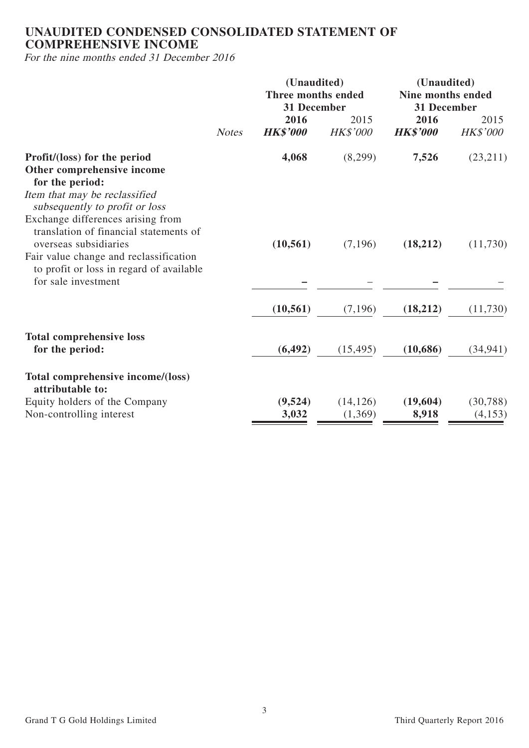# **UNAUDITED CONDENSED CONSOLIDATED STATEMENT OF COMPREHENSIVE INCOME**

For the nine months ended 31 December 2016

|                                                                                    |              | (Unaudited)<br>Three months ended<br>31 December |                  | (Unaudited)<br>Nine months ended<br>31 December |                         |  |
|------------------------------------------------------------------------------------|--------------|--------------------------------------------------|------------------|-------------------------------------------------|-------------------------|--|
|                                                                                    | <b>Notes</b> | 2016<br><b>HK\$'000</b>                          | 2015<br>HK\$'000 | 2016<br><b>HK\$'000</b>                         | 2015<br><b>HK\$'000</b> |  |
| Profit/(loss) for the period<br>Other comprehensive income                         |              | 4,068                                            | (8,299)          | 7,526                                           | (23,211)                |  |
| for the period:                                                                    |              |                                                  |                  |                                                 |                         |  |
| Item that may be reclassified<br>subsequently to profit or loss                    |              |                                                  |                  |                                                 |                         |  |
| Exchange differences arising from                                                  |              |                                                  |                  |                                                 |                         |  |
| translation of financial statements of<br>overseas subsidiaries                    |              | (10, 561)                                        | (7, 196)         | (18,212)                                        | (11,730)                |  |
| Fair value change and reclassification<br>to profit or loss in regard of available |              |                                                  |                  |                                                 |                         |  |
| for sale investment                                                                |              |                                                  |                  |                                                 |                         |  |
|                                                                                    |              | (10, 561)                                        | (7,196)          | (18,212)                                        | (11,730)                |  |
| <b>Total comprehensive loss</b>                                                    |              |                                                  |                  |                                                 |                         |  |
| for the period:                                                                    |              | (6, 492)                                         | (15, 495)        | (10,686)                                        | (34, 941)               |  |
| Total comprehensive income/(loss)<br>attributable to:                              |              |                                                  |                  |                                                 |                         |  |
| Equity holders of the Company                                                      |              | (9,524)                                          | (14, 126)        | (19,604)                                        | (30, 788)               |  |
| Non-controlling interest                                                           |              | 3,032                                            | (1,369)          | 8,918                                           | (4,153)                 |  |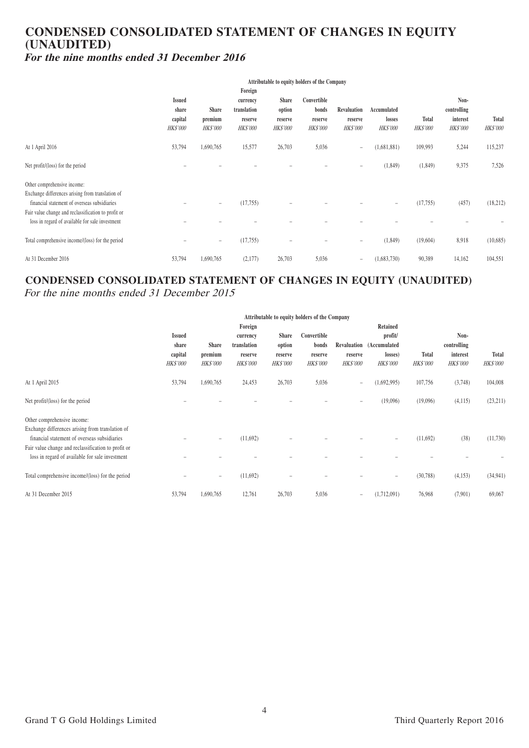## **CONDENSED CONSOLIDATED STATEMENT OF CHANGES IN EQUITY (UNAUDITED) For the nine months ended 31 December 2016**

|                                                                                                                                                                                                                                           | Attributable to equity holders of the Company        |                                            |                                                                  |                                                      |                                                    |                                           |                                          |                          |                                                    |                          |
|-------------------------------------------------------------------------------------------------------------------------------------------------------------------------------------------------------------------------------------------|------------------------------------------------------|--------------------------------------------|------------------------------------------------------------------|------------------------------------------------------|----------------------------------------------------|-------------------------------------------|------------------------------------------|--------------------------|----------------------------------------------------|--------------------------|
|                                                                                                                                                                                                                                           | <b>Issued</b><br>share<br>capital<br><b>HK\$'000</b> | <b>Share</b><br>premium<br><b>HK\$'000</b> | Foreign<br>currency<br>translation<br>reserve<br><b>HK\$'000</b> | <b>Share</b><br>option<br>reserve<br><b>HK\$'000</b> | Convertible<br>bonds<br>reserve<br><b>HK\$'000</b> | Revaluation<br>reserve<br><b>HK\$'000</b> | Accumulated<br>losses<br><b>HK\$'000</b> | Total<br><b>HK\$'000</b> | Non-<br>controlling<br>interest<br><b>HK\$'000</b> | Total<br><b>HK\$'000</b> |
| At 1 April 2016                                                                                                                                                                                                                           | 53,794                                               | 1,690,765                                  | 15,577                                                           | 26,703                                               | 5,036                                              | $\overline{\phantom{a}}$                  | (1,681,881)                              | 109,993                  | 5,244                                              | 115,237                  |
| Net profit/(loss) for the period                                                                                                                                                                                                          |                                                      |                                            |                                                                  |                                                      |                                                    | $\overline{\phantom{0}}$                  | (1,849)                                  | (1, 849)                 | 9,375                                              | 7,526                    |
| Other comprehensive income:<br>Exchange differences arising from translation of<br>financial statement of overseas subsidiaries<br>Fair value change and reclassification to profit or<br>loss in regard of available for sale investment |                                                      | $\overline{\phantom{0}}$                   | (17, 755)                                                        |                                                      |                                                    |                                           | $\overline{\phantom{a}}$                 | (17, 755)                | (457)                                              | (18, 212)                |
| Total comprehensive income/(loss) for the period                                                                                                                                                                                          |                                                      | $\overline{\phantom{m}}$                   | (17, 755)                                                        | $\overline{\phantom{0}}$                             |                                                    | $\equiv$                                  | (1,849)                                  | (19,604)                 | 8,918                                              | (10,685)                 |
| At 31 December 2016                                                                                                                                                                                                                       | 53,794                                               | 1,690,765                                  | (2,177)                                                          | 26,703                                               | 5,036                                              | $\overline{\phantom{a}}$                  | (1,683,730)                              | 90,389                   | 14,162                                             | 104,551                  |

# **CONDENSED CONSOLIDATED STATEMENT OF CHANGES IN EQUITY (UNAUDITED)**

For the nine months ended 31 December 2015

|                                                                                                  | Attributable to equity holders of the Company |                          |                 |                 |                 |                          |                          |                 |                 |                 |
|--------------------------------------------------------------------------------------------------|-----------------------------------------------|--------------------------|-----------------|-----------------|-----------------|--------------------------|--------------------------|-----------------|-----------------|-----------------|
|                                                                                                  | Retained<br>Foreign                           |                          |                 |                 |                 |                          |                          |                 |                 |                 |
|                                                                                                  | <b>Issued</b>                                 |                          | currency        | <b>Share</b>    | Convertible     |                          | profit/                  |                 | Non-            |                 |
|                                                                                                  | share                                         | <b>Share</b>             | translation     | option          | bonds           | Revaluation              | (Accumulated             |                 | controlling     |                 |
|                                                                                                  | capital                                       | premium                  | reserve         | reserve         | reserve         | reserve                  | losses)                  | <b>Total</b>    | interest        | <b>Total</b>    |
|                                                                                                  | <b>HK\$'000</b>                               | <b>HK\$'000</b>          | <b>HK\$'000</b> | <b>HK\$'000</b> | <i>HK\$'000</i> | <b>HK\$'000</b>          | <b>HK\$'000</b>          | <b>HK\$'000</b> | <b>HK\$'000</b> | <b>HK\$'000</b> |
| At 1 April 2015                                                                                  | 53,794                                        | 1,690,765                | 24,453          | 26,703          | 5,036           | $\overline{\phantom{a}}$ | (1,692,995)              | 107,756         | (3,748)         | 104,008         |
| Net profit/(loss) for the period                                                                 |                                               |                          |                 |                 |                 | $\qquad \qquad -$        | (19,096)                 | (19,096)        | (4,115)         | (23,211)        |
| Other comprehensive income:                                                                      |                                               |                          |                 |                 |                 |                          |                          |                 |                 |                 |
| Exchange differences arising from translation of<br>financial statement of overseas subsidiaries |                                               | $\qquad \qquad =$        | (11,692)        |                 |                 |                          | $\overline{\phantom{a}}$ | (11,692)        | (38)            | (11,730)        |
| Fair value change and reclassification to profit or                                              |                                               |                          |                 |                 |                 |                          |                          |                 |                 |                 |
| loss in regard of available for sale investment                                                  |                                               |                          |                 |                 |                 |                          |                          |                 |                 |                 |
| Total comprehensive income/(loss) for the period                                                 |                                               | $\overline{\phantom{m}}$ | (11,692)        |                 |                 |                          | $\overline{\phantom{a}}$ | (30, 788)       | (4,153)         | (34, 941)       |
| At 31 December 2015                                                                              | 53,794                                        | 1,690,765                | 12,761          | 26,703          | 5,036           | $\equiv$                 | (1,712,091)              | 76,968          | (7,901)         | 69,067          |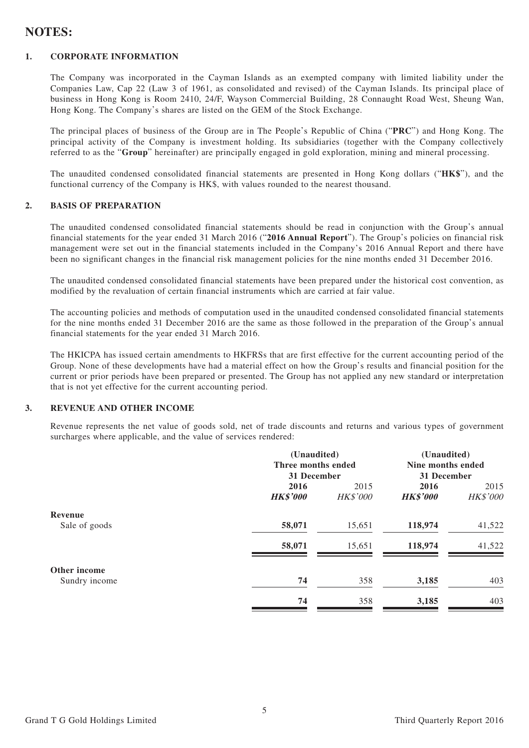# **NOTES:**

#### **1. CORPORATE INFORMATION**

The Company was incorporated in the Cayman Islands as an exempted company with limited liability under the Companies Law, Cap 22 (Law 3 of 1961, as consolidated and revised) of the Cayman Islands. Its principal place of business in Hong Kong is Room 2410, 24/F, Wayson Commercial Building, 28 Connaught Road West, Sheung Wan, Hong Kong. The Company's shares are listed on the GEM of the Stock Exchange.

The principal places of business of the Group are in The People's Republic of China ("**PRC**") and Hong Kong. The principal activity of the Company is investment holding. Its subsidiaries (together with the Company collectively referred to as the "**Group**" hereinafter) are principally engaged in gold exploration, mining and mineral processing.

The unaudited condensed consolidated financial statements are presented in Hong Kong dollars ("**HK\$**"), and the functional currency of the Company is HK\$, with values rounded to the nearest thousand.

#### **2. BASIS OF PREPARATION**

The unaudited condensed consolidated financial statements should be read in conjunction with the Group's annual financial statements for the year ended 31 March 2016 ("**2016 Annual Report**"). The Group's policies on financial risk management were set out in the financial statements included in the Company's 2016 Annual Report and there have been no significant changes in the financial risk management policies for the nine months ended 31 December 2016.

The unaudited condensed consolidated financial statements have been prepared under the historical cost convention, as modified by the revaluation of certain financial instruments which are carried at fair value.

The accounting policies and methods of computation used in the unaudited condensed consolidated financial statements for the nine months ended 31 December 2016 are the same as those followed in the preparation of the Group's annual financial statements for the year ended 31 March 2016.

The HKICPA has issued certain amendments to HKFRSs that are first effective for the current accounting period of the Group. None of these developments have had a material effect on how the Group's results and financial position for the current or prior periods have been prepared or presented. The Group has not applied any new standard or interpretation that is not yet effective for the current accounting period.

#### **3. REVENUE AND OTHER INCOME**

Revenue represents the net value of goods sold, net of trade discounts and returns and various types of government surcharges where applicable, and the value of services rendered:

|               | (Unaudited)        |                 | (Unaudited)       |          |
|---------------|--------------------|-----------------|-------------------|----------|
|               | Three months ended |                 | Nine months ended |          |
|               | 31 December        |                 | 31 December       |          |
|               | 2016               | 2015            | 2016              | 2015     |
|               | <b>HK\$'000</b>    | <b>HK\$'000</b> | <b>HK\$'000</b>   | HK\$'000 |
| Revenue       |                    |                 |                   |          |
| Sale of goods | 58,071             | 15,651          | 118,974           | 41,522   |
|               | 58,071             | 15,651          | 118,974           | 41,522   |
| Other income  |                    |                 |                   |          |
| Sundry income | 74                 | 358             | 3,185             | 403      |
|               | 74                 | 358             | 3,185             | 403      |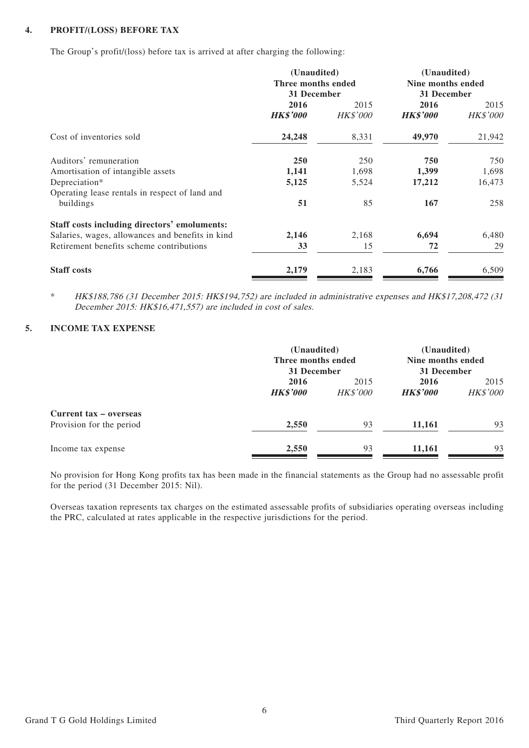#### **4. PROFIT/(LOSS) BEFORE TAX**

The Group's profit/(loss) before tax is arrived at after charging the following:

|                                                                 | (Unaudited)<br>Three months ended<br>31 December |                         | (Unaudited)<br>Nine months ended<br>31 December |                         |
|-----------------------------------------------------------------|--------------------------------------------------|-------------------------|-------------------------------------------------|-------------------------|
|                                                                 | 2016<br><b>HK\$'000</b>                          | 2015<br><b>HK\$'000</b> | 2016<br><b>HK\$'000</b>                         | 2015<br><b>HK\$'000</b> |
| Cost of inventories sold                                        | 24,248                                           | 8,331                   | 49,970                                          | 21,942                  |
| Auditors' remuneration                                          | 250                                              | 250                     | 750                                             | 750                     |
| Amortisation of intangible assets                               | 1,141                                            | 1,698                   | 1,399                                           | 1,698                   |
| Depreciation*<br>Operating lease rentals in respect of land and | 5,125                                            | 5,524                   | 17,212                                          | 16,473                  |
| buildings                                                       | 51                                               | 85                      | 167                                             | 258                     |
| Staff costs including directors' emoluments:                    |                                                  |                         |                                                 |                         |
| Salaries, wages, allowances and benefits in kind                | 2,146                                            | 2,168                   | 6,694                                           | 6,480                   |
| Retirement benefits scheme contributions                        | 33                                               | 15                      | 72                                              | 29                      |
| <b>Staff</b> costs                                              | 2,179                                            | 2,183                   | 6,766                                           | 6,509                   |

\* HK\$188,786 (31 December 2015: HK\$194,752) are included in administrative expenses and HK\$17,208,472 (31 December 2015: HK\$16,471,557) are included in cost of sales.

#### **5. INCOME TAX EXPENSE**

|                                                    |                         | (Unaudited)<br>Three months ended<br>31 December |                         | (Unaudited)<br>Nine months ended<br>31 December |
|----------------------------------------------------|-------------------------|--------------------------------------------------|-------------------------|-------------------------------------------------|
|                                                    | 2016<br><b>HK\$'000</b> | 2015<br><b>HK\$'000</b>                          | 2016<br><b>HK\$'000</b> | 2015<br><b>HK\$'000</b>                         |
| Current tax – overseas<br>Provision for the period | 2,550                   | 93                                               | 11,161                  | 93                                              |
| Income tax expense                                 | 2,550                   | 93                                               | 11,161                  | 93                                              |

No provision for Hong Kong profits tax has been made in the financial statements as the Group had no assessable profit for the period (31 December 2015: Nil).

Overseas taxation represents tax charges on the estimated assessable profits of subsidiaries operating overseas including the PRC, calculated at rates applicable in the respective jurisdictions for the period.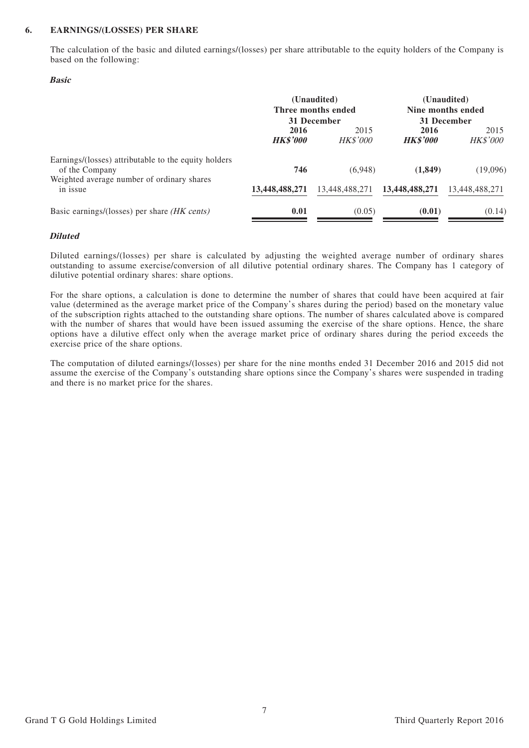#### **6. EARNINGS/(LOSSES) PER SHARE**

The calculation of the basic and diluted earnings/(losses) per share attributable to the equity holders of the Company is based on the following:

#### **Basic**

|                                                                                                                      |                         | (Unaudited)<br>Three months ended<br>31 December | (Unaudited)<br>Nine months ended<br>31 December |                         |  |
|----------------------------------------------------------------------------------------------------------------------|-------------------------|--------------------------------------------------|-------------------------------------------------|-------------------------|--|
|                                                                                                                      | 2016<br><b>HK\$'000</b> | 2015<br><b>HK\$'000</b>                          | 2016<br><b>HK\$'000</b>                         | 2015<br><b>HK\$'000</b> |  |
| Earnings/(losses) attributable to the equity holders<br>of the Company<br>Weighted average number of ordinary shares | 746                     | (6,948)                                          | (1, 849)                                        | (19,096)                |  |
| in issue                                                                                                             | 13,448,488,271          | 13,448,488,271                                   | 13,448,488,271                                  | 13,448,488,271          |  |
| Basic earnings/(losses) per share <i>(HK cents)</i>                                                                  | 0.01                    | (0.05)                                           | (0.01)                                          | (0.14)                  |  |

#### **Diluted**

Diluted earnings/(losses) per share is calculated by adjusting the weighted average number of ordinary shares outstanding to assume exercise/conversion of all dilutive potential ordinary shares. The Company has 1 category of dilutive potential ordinary shares: share options.

For the share options, a calculation is done to determine the number of shares that could have been acquired at fair value (determined as the average market price of the Company's shares during the period) based on the monetary value of the subscription rights attached to the outstanding share options. The number of shares calculated above is compared with the number of shares that would have been issued assuming the exercise of the share options. Hence, the share options have a dilutive effect only when the average market price of ordinary shares during the period exceeds the exercise price of the share options.

The computation of diluted earnings/(losses) per share for the nine months ended 31 December 2016 and 2015 did not assume the exercise of the Company's outstanding share options since the Company's shares were suspended in trading and there is no market price for the shares.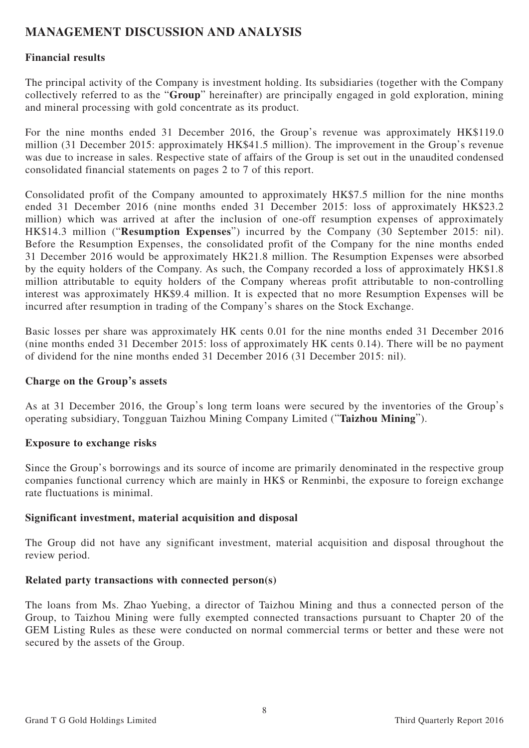# **MANAGEMENT DISCUSSION AND ANALYSIS**

## **Financial results**

The principal activity of the Company is investment holding. Its subsidiaries (together with the Company collectively referred to as the "**Group**" hereinafter) are principally engaged in gold exploration, mining and mineral processing with gold concentrate as its product.

For the nine months ended 31 December 2016, the Group's revenue was approximately HK\$119.0 million (31 December 2015: approximately HK\$41.5 million). The improvement in the Group's revenue was due to increase in sales. Respective state of affairs of the Group is set out in the unaudited condensed consolidated financial statements on pages 2 to 7 of this report.

Consolidated profit of the Company amounted to approximately HK\$7.5 million for the nine months ended 31 December 2016 (nine months ended 31 December 2015: loss of approximately HK\$23.2 million) which was arrived at after the inclusion of one-off resumption expenses of approximately HK\$14.3 million ("**Resumption Expenses**") incurred by the Company (30 September 2015: nil). Before the Resumption Expenses, the consolidated profit of the Company for the nine months ended 31 December 2016 would be approximately HK21.8 million. The Resumption Expenses were absorbed by the equity holders of the Company. As such, the Company recorded a loss of approximately HK\$1.8 million attributable to equity holders of the Company whereas profit attributable to non-controlling interest was approximately HK\$9.4 million. It is expected that no more Resumption Expenses will be incurred after resumption in trading of the Company's shares on the Stock Exchange.

Basic losses per share was approximately HK cents 0.01 for the nine months ended 31 December 2016 (nine months ended 31 December 2015: loss of approximately HK cents 0.14). There will be no payment of dividend for the nine months ended 31 December 2016 (31 December 2015: nil).

### **Charge on the Group's assets**

As at 31 December 2016, the Group's long term loans were secured by the inventories of the Group's operating subsidiary, Tongguan Taizhou Mining Company Limited ("**Taizhou Mining**").

### **Exposure to exchange risks**

Since the Group's borrowings and its source of income are primarily denominated in the respective group companies functional currency which are mainly in HK\$ or Renminbi, the exposure to foreign exchange rate fluctuations is minimal.

### **Significant investment, material acquisition and disposal**

The Group did not have any significant investment, material acquisition and disposal throughout the review period.

### **Related party transactions with connected person(s)**

The loans from Ms. Zhao Yuebing, a director of Taizhou Mining and thus a connected person of the Group, to Taizhou Mining were fully exempted connected transactions pursuant to Chapter 20 of the GEM Listing Rules as these were conducted on normal commercial terms or better and these were not secured by the assets of the Group.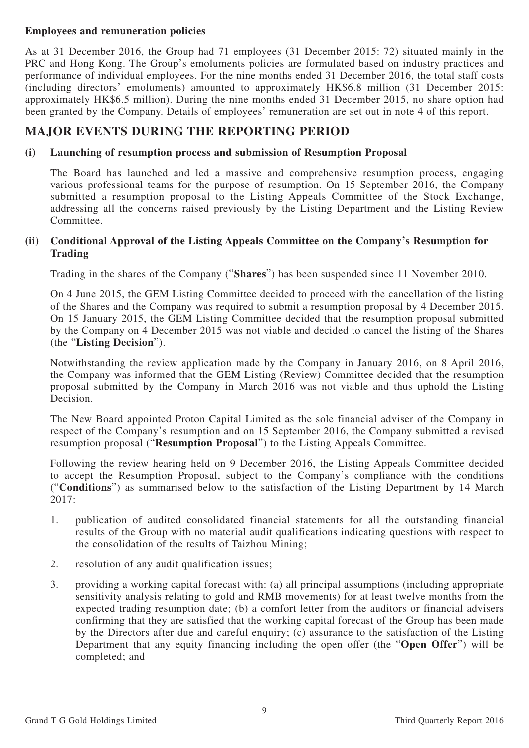### **Employees and remuneration policies**

As at 31 December 2016, the Group had 71 employees (31 December 2015: 72) situated mainly in the PRC and Hong Kong. The Group's emoluments policies are formulated based on industry practices and performance of individual employees. For the nine months ended 31 December 2016, the total staff costs (including directors' emoluments) amounted to approximately HK\$6.8 million (31 December 2015: approximately HK\$6.5 million). During the nine months ended 31 December 2015, no share option had been granted by the Company. Details of employees' remuneration are set out in note 4 of this report.

# **MAJOR EVENTS DURING THE REPORTING PERIOD**

#### **(i) Launching of resumption process and submission of Resumption Proposal**

The Board has launched and led a massive and comprehensive resumption process, engaging various professional teams for the purpose of resumption. On 15 September 2016, the Company submitted a resumption proposal to the Listing Appeals Committee of the Stock Exchange, addressing all the concerns raised previously by the Listing Department and the Listing Review Committee.

#### **(ii) Conditional Approval of the Listing Appeals Committee on the Company's Resumption for Trading**

Trading in the shares of the Company ("**Shares**") has been suspended since 11 November 2010.

On 4 June 2015, the GEM Listing Committee decided to proceed with the cancellation of the listing of the Shares and the Company was required to submit a resumption proposal by 4 December 2015. On 15 January 2015, the GEM Listing Committee decided that the resumption proposal submitted by the Company on 4 December 2015 was not viable and decided to cancel the listing of the Shares (the "**Listing Decision**").

Notwithstanding the review application made by the Company in January 2016, on 8 April 2016, the Company was informed that the GEM Listing (Review) Committee decided that the resumption proposal submitted by the Company in March 2016 was not viable and thus uphold the Listing Decision.

The New Board appointed Proton Capital Limited as the sole financial adviser of the Company in respect of the Company's resumption and on 15 September 2016, the Company submitted a revised resumption proposal ("**Resumption Proposal**") to the Listing Appeals Committee.

Following the review hearing held on 9 December 2016, the Listing Appeals Committee decided to accept the Resumption Proposal, subject to the Company's compliance with the conditions ("**Conditions**") as summarised below to the satisfaction of the Listing Department by 14 March 2017:

- 1. publication of audited consolidated financial statements for all the outstanding financial results of the Group with no material audit qualifications indicating questions with respect to the consolidation of the results of Taizhou Mining;
- 2. resolution of any audit qualification issues;
- 3. providing a working capital forecast with: (a) all principal assumptions (including appropriate sensitivity analysis relating to gold and RMB movements) for at least twelve months from the expected trading resumption date; (b) a comfort letter from the auditors or financial advisers confirming that they are satisfied that the working capital forecast of the Group has been made by the Directors after due and careful enquiry; (c) assurance to the satisfaction of the Listing Department that any equity financing including the open offer (the "**Open Offer**") will be completed; and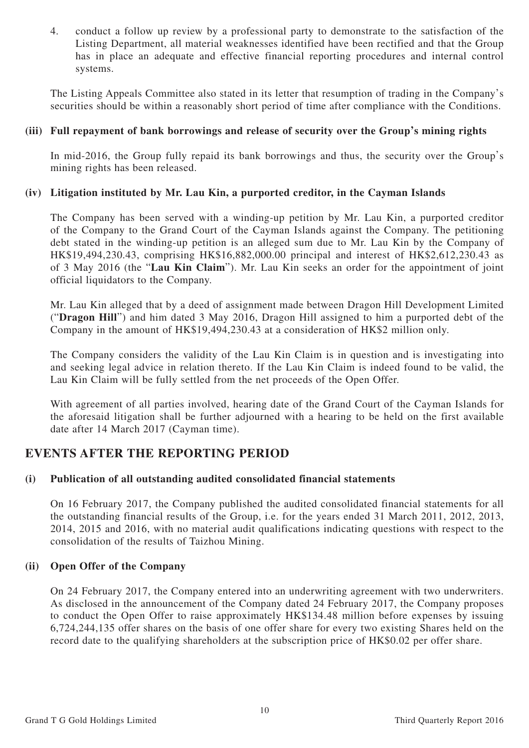4. conduct a follow up review by a professional party to demonstrate to the satisfaction of the Listing Department, all material weaknesses identified have been rectified and that the Group has in place an adequate and effective financial reporting procedures and internal control systems.

The Listing Appeals Committee also stated in its letter that resumption of trading in the Company's securities should be within a reasonably short period of time after compliance with the Conditions.

#### **(iii) Full repayment of bank borrowings and release of security over the Group's mining rights**

In mid-2016, the Group fully repaid its bank borrowings and thus, the security over the Group's mining rights has been released.

### **(iv) Litigation instituted by Mr. Lau Kin, a purported creditor, in the Cayman Islands**

The Company has been served with a winding-up petition by Mr. Lau Kin, a purported creditor of the Company to the Grand Court of the Cayman Islands against the Company. The petitioning debt stated in the winding-up petition is an alleged sum due to Mr. Lau Kin by the Company of HK\$19,494,230.43, comprising HK\$16,882,000.00 principal and interest of HK\$2,612,230.43 as of 3 May 2016 (the "**Lau Kin Claim**"). Mr. Lau Kin seeks an order for the appointment of joint official liquidators to the Company.

Mr. Lau Kin alleged that by a deed of assignment made between Dragon Hill Development Limited ("**Dragon Hill**") and him dated 3 May 2016, Dragon Hill assigned to him a purported debt of the Company in the amount of HK\$19,494,230.43 at a consideration of HK\$2 million only.

The Company considers the validity of the Lau Kin Claim is in question and is investigating into and seeking legal advice in relation thereto. If the Lau Kin Claim is indeed found to be valid, the Lau Kin Claim will be fully settled from the net proceeds of the Open Offer.

With agreement of all parties involved, hearing date of the Grand Court of the Cayman Islands for the aforesaid litigation shall be further adjourned with a hearing to be held on the first available date after 14 March 2017 (Cayman time).

# **EVENTS AFTER THE REPORTING PERIOD**

### **(i) Publication of all outstanding audited consolidated financial statements**

On 16 February 2017, the Company published the audited consolidated financial statements for all the outstanding financial results of the Group, i.e. for the years ended 31 March 2011, 2012, 2013, 2014, 2015 and 2016, with no material audit qualifications indicating questions with respect to the consolidation of the results of Taizhou Mining.

#### **(ii) Open Offer of the Company**

On 24 February 2017, the Company entered into an underwriting agreement with two underwriters. As disclosed in the announcement of the Company dated 24 February 2017, the Company proposes to conduct the Open Offer to raise approximately HK\$134.48 million before expenses by issuing 6,724,244,135 offer shares on the basis of one offer share for every two existing Shares held on the record date to the qualifying shareholders at the subscription price of HK\$0.02 per offer share.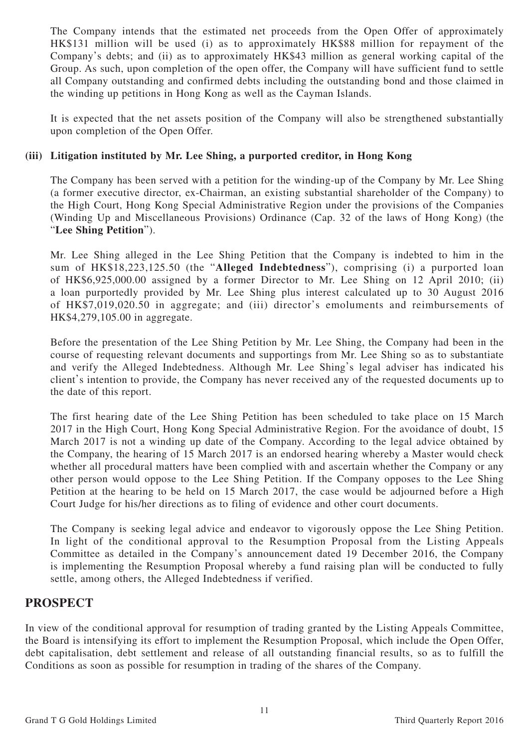The Company intends that the estimated net proceeds from the Open Offer of approximately HK\$131 million will be used (i) as to approximately HK\$88 million for repayment of the Company's debts; and (ii) as to approximately HK\$43 million as general working capital of the Group. As such, upon completion of the open offer, the Company will have sufficient fund to settle all Company outstanding and confirmed debts including the outstanding bond and those claimed in the winding up petitions in Hong Kong as well as the Cayman Islands.

It is expected that the net assets position of the Company will also be strengthened substantially upon completion of the Open Offer.

### **(iii) Litigation instituted by Mr. Lee Shing, a purported creditor, in Hong Kong**

The Company has been served with a petition for the winding-up of the Company by Mr. Lee Shing (a former executive director, ex-Chairman, an existing substantial shareholder of the Company) to the High Court, Hong Kong Special Administrative Region under the provisions of the Companies (Winding Up and Miscellaneous Provisions) Ordinance (Cap. 32 of the laws of Hong Kong) (the "**Lee Shing Petition**").

Mr. Lee Shing alleged in the Lee Shing Petition that the Company is indebted to him in the sum of HK\$18,223,125.50 (the "**Alleged Indebtedness**"), comprising (i) a purported loan of HK\$6,925,000.00 assigned by a former Director to Mr. Lee Shing on 12 April 2010; (ii) a loan purportedly provided by Mr. Lee Shing plus interest calculated up to 30 August 2016 of HK\$7,019,020.50 in aggregate; and (iii) director's emoluments and reimbursements of HK\$4,279,105.00 in aggregate.

Before the presentation of the Lee Shing Petition by Mr. Lee Shing, the Company had been in the course of requesting relevant documents and supportings from Mr. Lee Shing so as to substantiate and verify the Alleged Indebtedness. Although Mr. Lee Shing's legal adviser has indicated his client's intention to provide, the Company has never received any of the requested documents up to the date of this report.

The first hearing date of the Lee Shing Petition has been scheduled to take place on 15 March 2017 in the High Court, Hong Kong Special Administrative Region. For the avoidance of doubt, 15 March 2017 is not a winding up date of the Company. According to the legal advice obtained by the Company, the hearing of 15 March 2017 is an endorsed hearing whereby a Master would check whether all procedural matters have been complied with and ascertain whether the Company or any other person would oppose to the Lee Shing Petition. If the Company opposes to the Lee Shing Petition at the hearing to be held on 15 March 2017, the case would be adjourned before a High Court Judge for his/her directions as to filing of evidence and other court documents.

The Company is seeking legal advice and endeavor to vigorously oppose the Lee Shing Petition. In light of the conditional approval to the Resumption Proposal from the Listing Appeals Committee as detailed in the Company's announcement dated 19 December 2016, the Company is implementing the Resumption Proposal whereby a fund raising plan will be conducted to fully settle, among others, the Alleged Indebtedness if verified.

# **PROSPECT**

In view of the conditional approval for resumption of trading granted by the Listing Appeals Committee, the Board is intensifying its effort to implement the Resumption Proposal, which include the Open Offer, debt capitalisation, debt settlement and release of all outstanding financial results, so as to fulfill the Conditions as soon as possible for resumption in trading of the shares of the Company.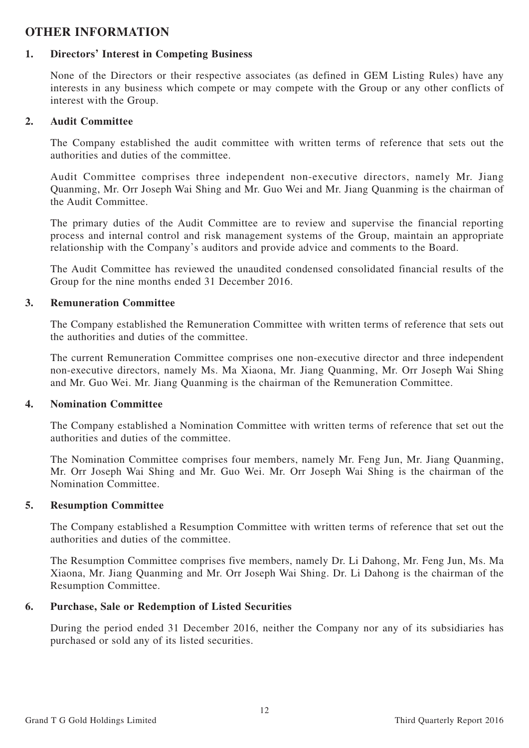# **OTHER INFORMATION**

### **1. Directors' Interest in Competing Business**

None of the Directors or their respective associates (as defined in GEM Listing Rules) have any interests in any business which compete or may compete with the Group or any other conflicts of interest with the Group.

#### **2. Audit Committee**

The Company established the audit committee with written terms of reference that sets out the authorities and duties of the committee.

Audit Committee comprises three independent non-executive directors, namely Mr. Jiang Quanming, Mr. Orr Joseph Wai Shing and Mr. Guo Wei and Mr. Jiang Quanming is the chairman of the Audit Committee.

The primary duties of the Audit Committee are to review and supervise the financial reporting process and internal control and risk management systems of the Group, maintain an appropriate relationship with the Company's auditors and provide advice and comments to the Board.

The Audit Committee has reviewed the unaudited condensed consolidated financial results of the Group for the nine months ended 31 December 2016.

#### **3. Remuneration Committee**

The Company established the Remuneration Committee with written terms of reference that sets out the authorities and duties of the committee.

The current Remuneration Committee comprises one non-executive director and three independent non-executive directors, namely Ms. Ma Xiaona, Mr. Jiang Quanming, Mr. Orr Joseph Wai Shing and Mr. Guo Wei. Mr. Jiang Quanming is the chairman of the Remuneration Committee.

#### **4. Nomination Committee**

The Company established a Nomination Committee with written terms of reference that set out the authorities and duties of the committee.

The Nomination Committee comprises four members, namely Mr. Feng Jun, Mr. Jiang Quanming, Mr. Orr Joseph Wai Shing and Mr. Guo Wei. Mr. Orr Joseph Wai Shing is the chairman of the Nomination Committee.

#### **5. Resumption Committee**

The Company established a Resumption Committee with written terms of reference that set out the authorities and duties of the committee.

The Resumption Committee comprises five members, namely Dr. Li Dahong, Mr. Feng Jun, Ms. Ma Xiaona, Mr. Jiang Quanming and Mr. Orr Joseph Wai Shing. Dr. Li Dahong is the chairman of the Resumption Committee.

### **6. Purchase, Sale or Redemption of Listed Securities**

During the period ended 31 December 2016, neither the Company nor any of its subsidiaries has purchased or sold any of its listed securities.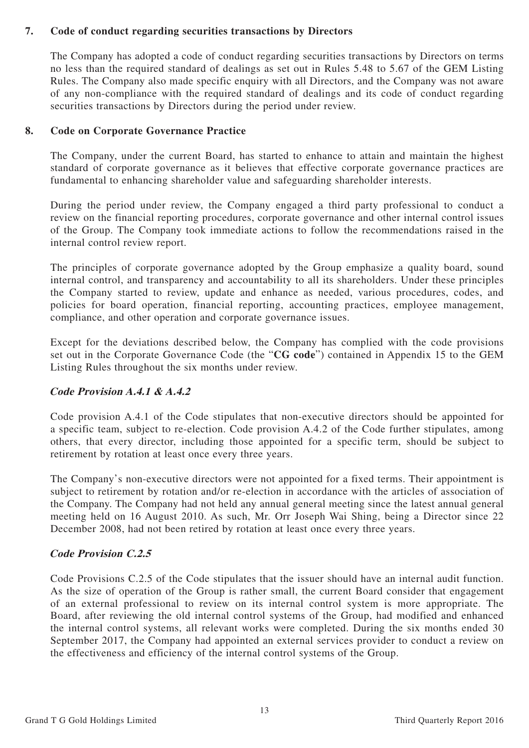## **7. Code of conduct regarding securities transactions by Directors**

The Company has adopted a code of conduct regarding securities transactions by Directors on terms no less than the required standard of dealings as set out in Rules 5.48 to 5.67 of the GEM Listing Rules. The Company also made specific enquiry with all Directors, and the Company was not aware of any non-compliance with the required standard of dealings and its code of conduct regarding securities transactions by Directors during the period under review.

## **8. Code on Corporate Governance Practice**

The Company, under the current Board, has started to enhance to attain and maintain the highest standard of corporate governance as it believes that effective corporate governance practices are fundamental to enhancing shareholder value and safeguarding shareholder interests.

During the period under review, the Company engaged a third party professional to conduct a review on the financial reporting procedures, corporate governance and other internal control issues of the Group. The Company took immediate actions to follow the recommendations raised in the internal control review report.

The principles of corporate governance adopted by the Group emphasize a quality board, sound internal control, and transparency and accountability to all its shareholders. Under these principles the Company started to review, update and enhance as needed, various procedures, codes, and policies for board operation, financial reporting, accounting practices, employee management, compliance, and other operation and corporate governance issues.

Except for the deviations described below, the Company has complied with the code provisions set out in the Corporate Governance Code (the "**CG code**") contained in Appendix 15 to the GEM Listing Rules throughout the six months under review.

# **Code Provision A.4.1 & A.4.2**

Code provision A.4.1 of the Code stipulates that non-executive directors should be appointed for a specific team, subject to re-election. Code provision A.4.2 of the Code further stipulates, among others, that every director, including those appointed for a specific term, should be subject to retirement by rotation at least once every three years.

The Company's non-executive directors were not appointed for a fixed terms. Their appointment is subject to retirement by rotation and/or re-election in accordance with the articles of association of the Company. The Company had not held any annual general meeting since the latest annual general meeting held on 16 August 2010. As such, Mr. Orr Joseph Wai Shing, being a Director since 22 December 2008, had not been retired by rotation at least once every three years.

# **Code Provision C.2.5**

Code Provisions C.2.5 of the Code stipulates that the issuer should have an internal audit function. As the size of operation of the Group is rather small, the current Board consider that engagement of an external professional to review on its internal control system is more appropriate. The Board, after reviewing the old internal control systems of the Group, had modified and enhanced the internal control systems, all relevant works were completed. During the six months ended 30 September 2017, the Company had appointed an external services provider to conduct a review on the effectiveness and efficiency of the internal control systems of the Group.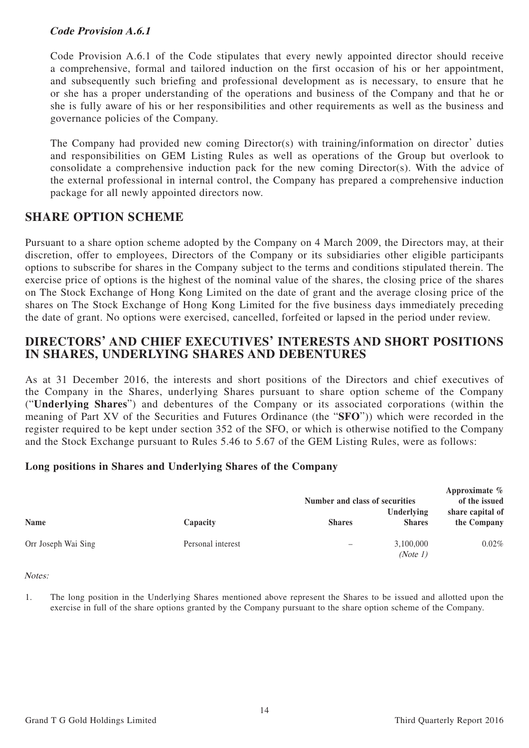## **Code Provision A.6.1**

Code Provision A.6.1 of the Code stipulates that every newly appointed director should receive a comprehensive, formal and tailored induction on the first occasion of his or her appointment, and subsequently such briefing and professional development as is necessary, to ensure that he or she has a proper understanding of the operations and business of the Company and that he or she is fully aware of his or her responsibilities and other requirements as well as the business and governance policies of the Company.

The Company had provided new coming Director(s) with training/information on director' duties and responsibilities on GEM Listing Rules as well as operations of the Group but overlook to consolidate a comprehensive induction pack for the new coming Director(s). With the advice of the external professional in internal control, the Company has prepared a comprehensive induction package for all newly appointed directors now.

# **SHARE OPTION SCHEME**

Pursuant to a share option scheme adopted by the Company on 4 March 2009, the Directors may, at their discretion, offer to employees, Directors of the Company or its subsidiaries other eligible participants options to subscribe for shares in the Company subject to the terms and conditions stipulated therein. The exercise price of options is the highest of the nominal value of the shares, the closing price of the shares on The Stock Exchange of Hong Kong Limited on the date of grant and the average closing price of the shares on The Stock Exchange of Hong Kong Limited for the five business days immediately preceding the date of grant. No options were exercised, cancelled, forfeited or lapsed in the period under review.

# **DIRECTORS' AND CHIEF EXECUTIVES' INTERESTS AND SHORT POSITIONS IN SHARES, UNDERLYING SHARES AND DEBENTURES**

As at 31 December 2016, the interests and short positions of the Directors and chief executives of the Company in the Shares, underlying Shares pursuant to share option scheme of the Company ("**Underlying Shares**") and debentures of the Company or its associated corporations (within the meaning of Part XV of the Securities and Futures Ordinance (the "**SFO**")) which were recorded in the register required to be kept under section 352 of the SFO, or which is otherwise notified to the Company and the Stock Exchange pursuant to Rules 5.46 to 5.67 of the GEM Listing Rules, were as follows:

# **Long positions in Shares and Underlying Shares of the Company**

|                     |                   | Number and class of securities | Approximate $\%$<br>of the issued<br>share capital of |             |
|---------------------|-------------------|--------------------------------|-------------------------------------------------------|-------------|
| <b>Name</b>         | Capacity          | <b>Shares</b>                  | Underlying<br><b>Shares</b>                           | the Company |
| Orr Joseph Wai Sing | Personal interest | -                              | 3,100,000<br>(Note 1)                                 | $0.02\%$    |

Notes:

1. The long position in the Underlying Shares mentioned above represent the Shares to be issued and allotted upon the exercise in full of the share options granted by the Company pursuant to the share option scheme of the Company.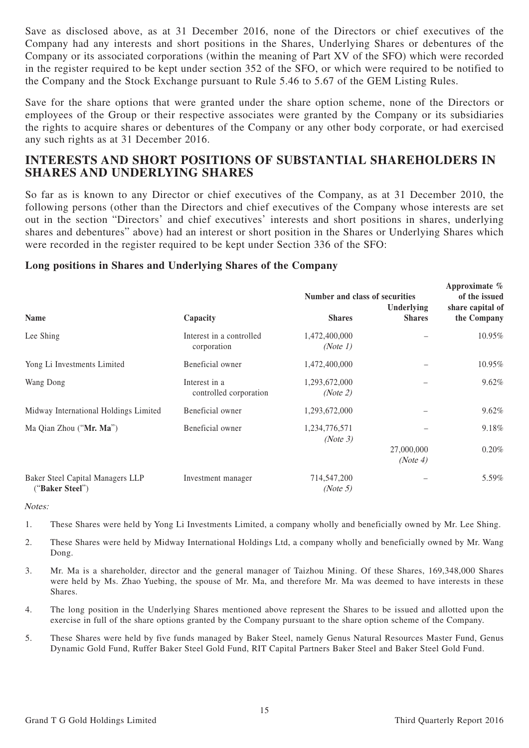Save as disclosed above, as at 31 December 2016, none of the Directors or chief executives of the Company had any interests and short positions in the Shares, Underlying Shares or debentures of the Company or its associated corporations (within the meaning of Part XV of the SFO) which were recorded in the register required to be kept under section 352 of the SFO, or which were required to be notified to the Company and the Stock Exchange pursuant to Rule 5.46 to 5.67 of the GEM Listing Rules.

Save for the share options that were granted under the share option scheme, none of the Directors or employees of the Group or their respective associates were granted by the Company or its subsidiaries the rights to acquire shares or debentures of the Company or any other body corporate, or had exercised any such rights as at 31 December 2016.

# **INTERESTS AND SHORT POSITIONS OF SUBSTANTIAL SHAREHOLDERS IN SHARES AND UNDERLYING SHARES**

So far as is known to any Director or chief executives of the Company, as at 31 December 2010, the following persons (other than the Directors and chief executives of the Company whose interests are set out in the section "Directors' and chief executives' interests and short positions in shares, underlying shares and debentures" above) had an interest or short position in the Shares or Underlying Shares which were recorded in the register required to be kept under Section 336 of the SFO:

#### **Long positions in Shares and Underlying Shares of the Company**

|                                                     |                                         | Number and class of securities | Approximate $\%$<br>of the issued |                                 |
|-----------------------------------------------------|-----------------------------------------|--------------------------------|-----------------------------------|---------------------------------|
| Name                                                | Capacity                                | <b>Shares</b>                  | Underlying<br><b>Shares</b>       | share capital of<br>the Company |
| Lee Shing                                           | Interest in a controlled<br>corporation | 1,472,400,000<br>(Note 1)      |                                   | 10.95%                          |
| Yong Li Investments Limited                         | Beneficial owner                        | 1,472,400,000                  |                                   | 10.95%                          |
| Wang Dong                                           | Interest in a<br>controlled corporation | 1,293,672,000<br>(Note 2)      |                                   | 9.62%                           |
| Midway International Holdings Limited               | Beneficial owner                        | 1,293,672,000                  |                                   | 9.62%                           |
| Ma Qian Zhou ("Mr. Ma")                             | Beneficial owner                        | 1,234,776,571<br>(Note 3)      |                                   | 9.18%                           |
|                                                     |                                         |                                | 27,000,000<br>(Note 4)            | 0.20%                           |
| Baker Steel Capital Managers LLP<br>("Baker Steel") | Investment manager                      | 714,547,200<br>(Note 5)        |                                   | 5.59%                           |

Notes:

- 1. These Shares were held by Yong Li Investments Limited, a company wholly and beneficially owned by Mr. Lee Shing.
- 2. These Shares were held by Midway International Holdings Ltd, a company wholly and beneficially owned by Mr. Wang Dong.
- 3. Mr. Ma is a shareholder, director and the general manager of Taizhou Mining. Of these Shares, 169,348,000 Shares were held by Ms. Zhao Yuebing, the spouse of Mr. Ma, and therefore Mr. Ma was deemed to have interests in these Shares.
- 4. The long position in the Underlying Shares mentioned above represent the Shares to be issued and allotted upon the exercise in full of the share options granted by the Company pursuant to the share option scheme of the Company.
- 5. These Shares were held by five funds managed by Baker Steel, namely Genus Natural Resources Master Fund, Genus Dynamic Gold Fund, Ruffer Baker Steel Gold Fund, RIT Capital Partners Baker Steel and Baker Steel Gold Fund.